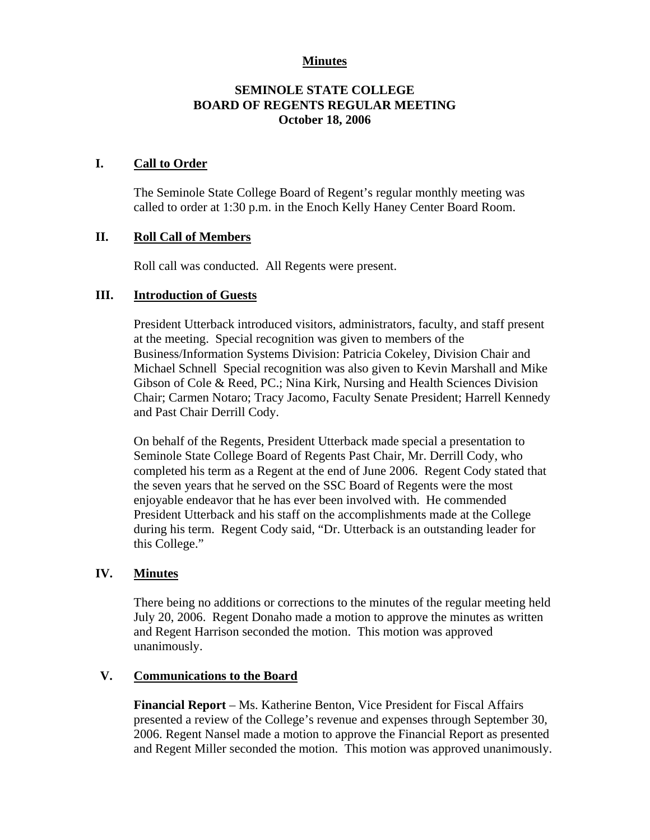## **Minutes**

# **SEMINOLE STATE COLLEGE BOARD OF REGENTS REGULAR MEETING October 18, 2006**

### **I. Call to Order**

The Seminole State College Board of Regent's regular monthly meeting was called to order at 1:30 p.m. in the Enoch Kelly Haney Center Board Room.

## **II. Roll Call of Members**

Roll call was conducted. All Regents were present.

## **III. Introduction of Guests**

President Utterback introduced visitors, administrators, faculty, and staff present at the meeting. Special recognition was given to members of the Business/Information Systems Division: Patricia Cokeley, Division Chair and Michael Schnell Special recognition was also given to Kevin Marshall and Mike Gibson of Cole & Reed, PC.; Nina Kirk, Nursing and Health Sciences Division Chair; Carmen Notaro; Tracy Jacomo, Faculty Senate President; Harrell Kennedy and Past Chair Derrill Cody.

On behalf of the Regents, President Utterback made special a presentation to Seminole State College Board of Regents Past Chair, Mr. Derrill Cody, who completed his term as a Regent at the end of June 2006. Regent Cody stated that the seven years that he served on the SSC Board of Regents were the most enjoyable endeavor that he has ever been involved with. He commended President Utterback and his staff on the accomplishments made at the College during his term. Regent Cody said, "Dr. Utterback is an outstanding leader for this College."

### **IV. Minutes**

There being no additions or corrections to the minutes of the regular meeting held July 20, 2006. Regent Donaho made a motion to approve the minutes as written and Regent Harrison seconded the motion. This motion was approved unanimously.

# **V. Communications to the Board**

**Financial Report** – Ms. Katherine Benton, Vice President for Fiscal Affairs presented a review of the College's revenue and expenses through September 30, 2006. Regent Nansel made a motion to approve the Financial Report as presented and Regent Miller seconded the motion. This motion was approved unanimously.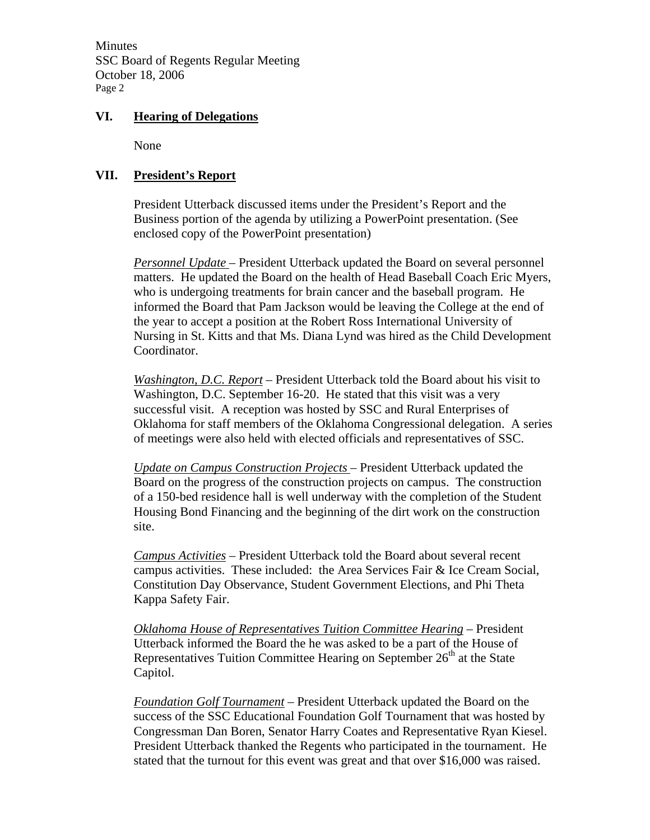Minutes SSC Board of Regents Regular Meeting October 18, 2006 Page 2

### **VI. Hearing of Delegations**

None

# **VII. President's Report**

President Utterback discussed items under the President's Report and the Business portion of the agenda by utilizing a PowerPoint presentation. (See enclosed copy of the PowerPoint presentation)

*Personnel Update* – President Utterback updated the Board on several personnel matters. He updated the Board on the health of Head Baseball Coach Eric Myers, who is undergoing treatments for brain cancer and the baseball program. He informed the Board that Pam Jackson would be leaving the College at the end of the year to accept a position at the Robert Ross International University of Nursing in St. Kitts and that Ms. Diana Lynd was hired as the Child Development Coordinator.

*Washington, D.C. Report* – President Utterback told the Board about his visit to Washington, D.C. September 16-20. He stated that this visit was a very successful visit. A reception was hosted by SSC and Rural Enterprises of Oklahoma for staff members of the Oklahoma Congressional delegation. A series of meetings were also held with elected officials and representatives of SSC.

*Update on Campus Construction Projects* – President Utterback updated the Board on the progress of the construction projects on campus. The construction of a 150-bed residence hall is well underway with the completion of the Student Housing Bond Financing and the beginning of the dirt work on the construction site.

*Campus Activities* – President Utterback told the Board about several recent campus activities. These included: the Area Services Fair & Ice Cream Social, Constitution Day Observance, Student Government Elections, and Phi Theta Kappa Safety Fair.

*Oklahoma House of Representatives Tuition Committee Hearing* – President Utterback informed the Board the he was asked to be a part of the House of Representatives Tuition Committee Hearing on September  $26<sup>th</sup>$  at the State Capitol.

*Foundation Golf Tournament* – President Utterback updated the Board on the success of the SSC Educational Foundation Golf Tournament that was hosted by Congressman Dan Boren, Senator Harry Coates and Representative Ryan Kiesel. President Utterback thanked the Regents who participated in the tournament. He stated that the turnout for this event was great and that over \$16,000 was raised.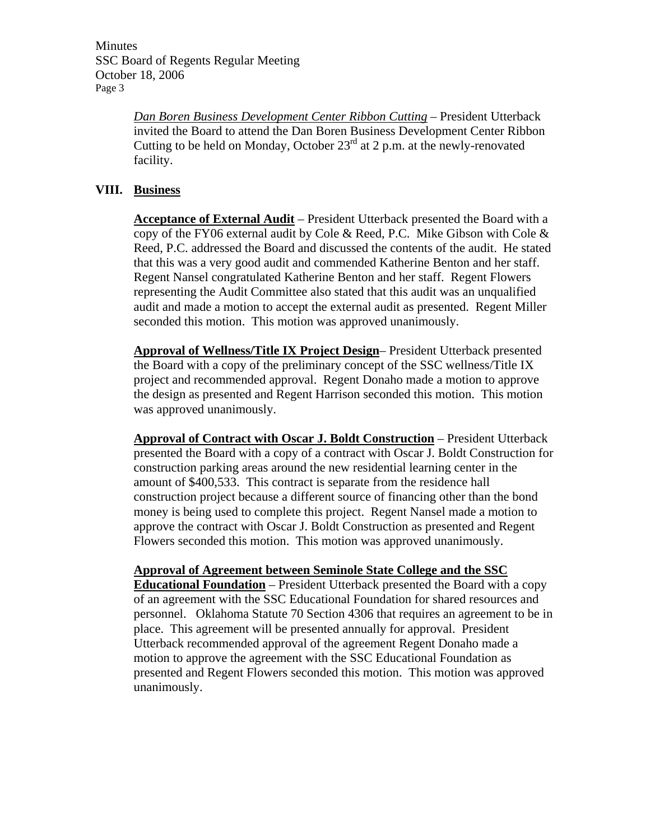Minutes SSC Board of Regents Regular Meeting October 18, 2006 Page 3

> *Dan Boren Business Development Center Ribbon Cutting* – President Utterback invited the Board to attend the Dan Boren Business Development Center Ribbon Cutting to be held on Monday, October  $23<sup>rd</sup>$  at 2 p.m. at the newly-renovated facility.

# **VIII. Business**

**Acceptance of External Audit** – President Utterback presented the Board with a copy of the FY06 external audit by Cole & Reed, P.C. Mike Gibson with Cole  $\&$ Reed, P.C. addressed the Board and discussed the contents of the audit. He stated that this was a very good audit and commended Katherine Benton and her staff. Regent Nansel congratulated Katherine Benton and her staff. Regent Flowers representing the Audit Committee also stated that this audit was an unqualified audit and made a motion to accept the external audit as presented. Regent Miller seconded this motion. This motion was approved unanimously.

**Approval of Wellness/Title IX Project Design**– President Utterback presented the Board with a copy of the preliminary concept of the SSC wellness/Title IX project and recommended approval. Regent Donaho made a motion to approve the design as presented and Regent Harrison seconded this motion. This motion was approved unanimously.

**Approval of Contract with Oscar J. Boldt Construction** – President Utterback presented the Board with a copy of a contract with Oscar J. Boldt Construction for construction parking areas around the new residential learning center in the amount of \$400,533. This contract is separate from the residence hall construction project because a different source of financing other than the bond money is being used to complete this project. Regent Nansel made a motion to approve the contract with Oscar J. Boldt Construction as presented and Regent Flowers seconded this motion. This motion was approved unanimously.

**Approval of Agreement between Seminole State College and the SSC Educational Foundation** – President Utterback presented the Board with a copy of an agreement with the SSC Educational Foundation for shared resources and personnel. Oklahoma Statute 70 Section 4306 that requires an agreement to be in place. This agreement will be presented annually for approval. President Utterback recommended approval of the agreement Regent Donaho made a motion to approve the agreement with the SSC Educational Foundation as presented and Regent Flowers seconded this motion. This motion was approved unanimously.